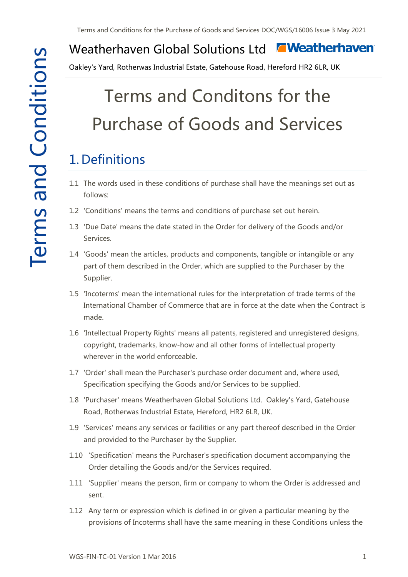#### **E** Weatherhaven Weatherhaven Global Solutions Ltd

Oakley's Yard, Rotherwas Industrial Estate, Gatehouse Road, Hereford HR2 6LR, UK

# Terms and Conditons for the Purchase of Goods and Services

# 1. Definitions

- 1.1 The words used in these conditions of purchase shall have the meanings set out as follows:
- 1.2 'Conditions' means the terms and conditions of purchase set out herein.
- 1.3 'Due Date' means the date stated in the Order for delivery of the Goods and/or Services.
- 1.4 'Goods' mean the articles, products and components, tangible or intangible or any part of them described in the Order, which are supplied to the Purchaser by the Supplier.
- 1.5 'Incoterms' mean the international rules for the interpretation of trade terms of the International Chamber of Commerce that are in force at the date when the Contract is made.
- 1.6 'Intellectual Property Rights' means all patents, registered and unregistered designs, copyright, trademarks, know-how and all other forms of intellectual property wherever in the world enforceable.
- 1.7 'Order' shall mean the Purchaser's purchase order document and, where used, Specification specifying the Goods and/or Services to be supplied.
- 1.8 'Purchaser' means Weatherhaven Global Solutions Ltd. Oakley's Yard, Gatehouse Road, Rotherwas Industrial Estate, Hereford, HR2 6LR, UK.
- 1.9 'Services' means any services or facilities or any part thereof described in the Order and provided to the Purchaser by the Supplier.
- 1.10 'Specification' means the Purchaser's specification document accompanying the Order detailing the Goods and/or the Services required.
- 1.11 'Supplier' means the person, firm or company to whom the Order is addressed and sent.
- 1.12 Any term or expression which is defined in or given a particular meaning by the provisions of Incoterms shall have the same meaning in these Conditions unless the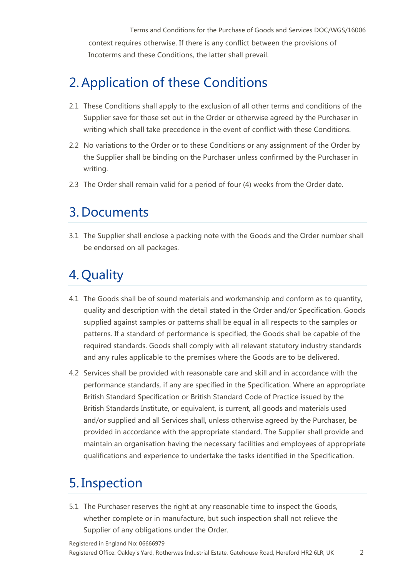Terms and Conditions for the Purchase of Goods and Services DOC/WGS/16006 context requires otherwise. If there is any conflict between the provisions of Incoterms and these Conditions, the latter shall prevail.

# 2. Application of these Conditions

- 2.1 These Conditions shall apply to the exclusion of all other terms and conditions of the Supplier save for those set out in the Order or otherwise agreed by the Purchaser in writing which shall take precedence in the event of conflict with these Conditions.
- 2.2 No variations to the Order or to these Conditions or any assignment of the Order by the Supplier shall be binding on the Purchaser unless confirmed by the Purchaser in writing.
- 2.3 The Order shall remain valid for a period of four (4) weeks from the Order date.

#### 3. Documents

3.1 The Supplier shall enclose a packing note with the Goods and the Order number shall be endorsed on all packages.

# 4. Quality

- 4.1 The Goods shall be of sound materials and workmanship and conform as to quantity, quality and description with the detail stated in the Order and/or Specification. Goods supplied against samples or patterns shall be equal in all respects to the samples or patterns. If a standard of performance is specified, the Goods shall be capable of the required standards. Goods shall comply with all relevant statutory industry standards and any rules applicable to the premises where the Goods are to be delivered.
- 4.2 Services shall be provided with reasonable care and skill and in accordance with the performance standards, if any are specified in the Specification. Where an appropriate British Standard Specification or British Standard Code of Practice issued by the British Standards Institute, or equivalent, is current, all goods and materials used and/or supplied and all Services shall, unless otherwise agreed by the Purchaser, be provided in accordance with the appropriate standard. The Supplier shall provide and maintain an organisation having the necessary facilities and employees of appropriate qualifications and experience to undertake the tasks identified in the Specification.

#### 5. Inspection

5.1 The Purchaser reserves the right at any reasonable time to inspect the Goods, whether complete or in manufacture, but such inspection shall not relieve the Supplier of any obligations under the Order.

Registered in England No: 06666979

Registered Office: Oakley's Yard, Rotherwas Industrial Estate, Gatehouse Road, Hereford HR2 6LR, UK 2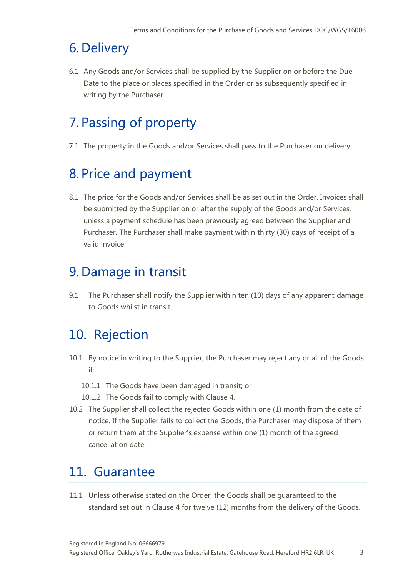# 6. Delivery

6.1 Any Goods and/or Services shall be supplied by the Supplier on or before the Due Date to the place or places specified in the Order or as subsequently specified in writing by the Purchaser.

# 7. Passing of property

7.1 The property in the Goods and/or Services shall pass to the Purchaser on delivery.

# 8. Price and payment

8.1 The price for the Goods and/or Services shall be as set out in the Order. Invoices shall be submitted by the Supplier on or after the supply of the Goods and/or Services, unless a payment schedule has been previously agreed between the Supplier and Purchaser. The Purchaser shall make payment within thirty (30) days of receipt of a valid invoice.

### 9. Damage in transit

9.1 The Purchaser shall notify the Supplier within ten (10) days of any apparent damage to Goods whilst in transit.

#### 10. Rejection

- 10.1 By notice in writing to the Supplier, the Purchaser may reject any or all of the Goods if:
	- 10.1.1 The Goods have been damaged in transit; or
	- 10.1.2 The Goods fail to comply with Clause 4.
- 10.2 The Supplier shall collect the rejected Goods within one (1) month from the date of notice. If the Supplier fails to collect the Goods, the Purchaser may dispose of them or return them at the Supplier's expense within one (1) month of the agreed cancellation date.

#### 11. Guarantee

11.1 Unless otherwise stated on the Order, the Goods shall be guaranteed to the standard set out in Clause 4 for twelve (12) months from the delivery of the Goods.

Registered in England No: 06666979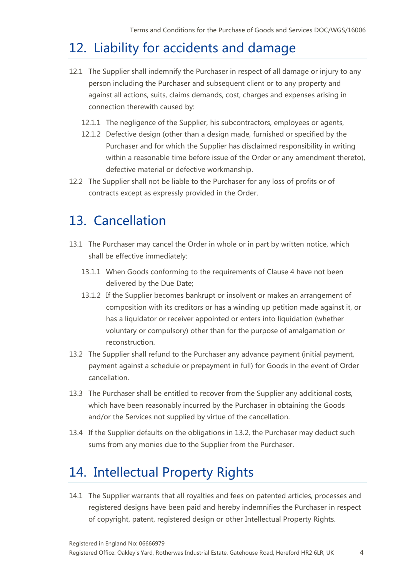# 12. Liability for accidents and damage

- 12.1 The Supplier shall indemnify the Purchaser in respect of all damage or injury to any person including the Purchaser and subsequent client or to any property and against all actions, suits, claims demands, cost, charges and expenses arising in connection therewith caused by:
	- 12.1.1 The negligence of the Supplier, his subcontractors, employees or agents,
	- 12.1.2 Defective design (other than a design made, furnished or specified by the Purchaser and for which the Supplier has disclaimed responsibility in writing within a reasonable time before issue of the Order or any amendment thereto), defective material or defective workmanship.
- 12.2 The Supplier shall not be liable to the Purchaser for any loss of profits or of contracts except as expressly provided in the Order.

#### 13. Cancellation

- 13.1 The Purchaser may cancel the Order in whole or in part by written notice, which shall be effective immediately:
	- 13.1.1 When Goods conforming to the requirements of Clause 4 have not been delivered by the Due Date;
	- 13.1.2 If the Supplier becomes bankrupt or insolvent or makes an arrangement of composition with its creditors or has a winding up petition made against it, or has a liquidator or receiver appointed or enters into liquidation (whether voluntary or compulsory) other than for the purpose of amalgamation or reconstruction.
- 13.2 The Supplier shall refund to the Purchaser any advance payment (initial payment, payment against a schedule or prepayment in full) for Goods in the event of Order cancellation.
- 13.3 The Purchaser shall be entitled to recover from the Supplier any additional costs, which have been reasonably incurred by the Purchaser in obtaining the Goods and/or the Services not supplied by virtue of the cancellation.
- 13.4 If the Supplier defaults on the obligations in 13.2, the Purchaser may deduct such sums from any monies due to the Supplier from the Purchaser.

# 14. Intellectual Property Rights

14.1 The Supplier warrants that all royalties and fees on patented articles, processes and registered designs have been paid and hereby indemnifies the Purchaser in respect of copyright, patent, registered design or other Intellectual Property Rights.

Registered in England No: 06666979